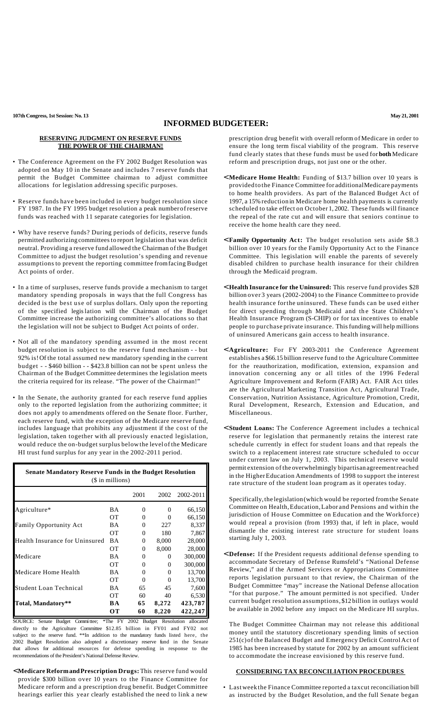## **INFORMED BUDGETEER:**

## **RESERVING JUDGMENT ON RESERVE FUNDS THE POWER OF THE CHAIRMAN!**

- The Conference Agreement on the FY 2002 Budget Resolution was adopted on May 10 in the Senate and includes 7 reserve funds that permit the Budget Committee chairman to adjust committee allocations for legislation addressing specific purposes.
- Reserve funds have been included in every budget resolution since FY 1987. In the FY 1995 budget resolution a peak numberof reserve funds was reached with 11 separate categories for legislation.
- Why have reserve funds? During periods of deficits, reserve funds permitted authorizingcommittees to report legislation that was deficit neutral. Providing a reserve fund allowed the Chairman of the Budget Committee to adjust the budget resolution's spending and revenue assumptions to prevent the reporting committee fromfacing Budget Act points of order.
- In a time of surpluses, reserve funds provide a mechanism to target mandatory spending proposals in ways that the full Congress has decided is the best use of surplus dollars. Only upon the reporting of the specified legislation will the Chairman of the Budget Committee increase the authorizing committee's allocations so that the legislation will not be subject to Budget Act points of order.
- Not all of the mandatory spending assumed in the most recent budget resolution is subject to the reserve fund mechanism - - but 92% is!Of the total assumed new mandatory spending in the current budget - - \$460 billion - - \$423.8 billion can not be spent unless the Chairman of the Budget Committee determines the legislation meets the criteria required for its release. "The power of the Chairman!"
- In the Senate, the authority granted for each reserve fund applies only to the reported legislation from the authorizing committee; it does not apply to amendments offered on the Senate floor. Further, each reserve fund, with the exception of the Medicare reserve fund, includes language that prohibits any adjustment if the cost of the legislation, taken together with all previously enacted legislation, would reduce the on-budget surplus below the level of the Medicare HI trust fund surplus for any year in the 2002-2011 period.

| <b>Senate Mandatory Reserve Funds in the Budget Resolution</b><br>(\$ in millions) |           |          |          |           |
|------------------------------------------------------------------------------------|-----------|----------|----------|-----------|
|                                                                                    |           | 2001     | 2002     | 2002-2011 |
| Agriculture*                                                                       | BA        | 0        | 0        | 66,150    |
|                                                                                    | OТ        | 0        | 0        | 66,150    |
| <b>Family Opportunity Act</b>                                                      | ΒA        | 0        | 227      | 8,337     |
|                                                                                    | <b>OT</b> | $\Omega$ | 180      | 7,867     |
| Health Insurance for Uninsured                                                     | <b>BA</b> | $\Omega$ | 8,000    | 28,000    |
|                                                                                    | OТ        | $\Omega$ | 8,000    | 28,000    |
| Medicare                                                                           | <b>BA</b> | $\Omega$ | 0        | 300,000   |
|                                                                                    | <b>OT</b> | $\Omega$ | 0        | 300,000   |
| Medicare Home Health                                                               | <b>BA</b> | 0        | $\Omega$ | 13,700    |
|                                                                                    | OТ        | $\Omega$ | $\Omega$ | 13,700    |
| <b>Student Loan Technical</b>                                                      | <b>BA</b> | 65       | 45       | 7,600     |
|                                                                                    | OТ        | 60       | 40       | 6,530     |
| Total, Mandatory**                                                                 | BA        | 65       | 8,272    | 423,787   |
|                                                                                    | OТ        | 60       | 8,220    | 422,247   |

SOURCE: Senate Budget Committee; \*The FY 2002 Budget Resolution allocated directly to the Agriculture Committee \$12.85 billion in FY01 and FY02 not subject to the reserve fund. \*\*In addition to the mandatory funds listed here, the 2002 Budget Resolution also adopted a discretionary reserve fund in the Senate that allows for additional resources for defense spending in response to the recommendations of the President's National Defense Review.

< **Medicare ReformandPrescription Drugs:**This reserve fund would provide \$300 billion over 10 years to the Finance Committee for Medicare reform and a prescription drug benefit. Budget Committee hearings earlier this year clearly established the need to link a new

prescription drug benefit with overall reform of Medicare in order to ensure the long term fiscal viability of the program. This reserve fund clearly states that these funds must be used for **both** Medicare reform and prescription drugs, not just one or the other.

- < **Medicare Home Health:** Funding of \$13.7 billion over 10 years is provided to the Finance Committee for additionalMedicare payments to home health providers. As part of the Balanced Budget Act of 1997, a 15% reduction in Medicare home health payments is currently scheduled to take effect on October 1, 2002. These funds will finance the repeal of the rate cut and will ensure that seniors continue to receive the home health care they need.
- < **Family Opportunity Act:** The budget resolution sets aside \$8.3 billion over 10 years for the Family Opportunity Act to the Finance Committee. This legislation will enable the parents of severely disabled children to purchase health insurance for their children through the Medicaid program.
- < **Health Insurance for the Uninsured:** This reserve fund provides \$28 billion over 3 years (2002-2004) to the Finance Committee to provide health insurance forthe uninsured. These funds can be used either for direct spending through Medicaid and the State Children's Health Insurance Program (S-CHIP) or for tax incentives to enable people to purchase private insurance. This funding will help millions of uninsured Americans gain access to health insurance.
- < **Agriculture:** For FY 2003-2011 the Conference Agreement establishes a \$66.15 billion reserve fund to the Agriculture Committee for the reauthorization, modification, extension, expansion and innovation concerning any or all titles of the 1996 Federal Agriculture Improvement and Reform (FAIR) Act. FAIR Act titles are the Agricultural Marketing Transition Act, Agricultural Trade, Conservation, Nutrition Assistance, Agriculture Promotion, Credit, Rural Development, Research, Extension and Education, and Miscellaneous.
- < **Student Loans:** The Conference Agreement includes a technical reserve for legislation that permanently retains the interest rate schedule currently in effect for student loans and that repeals the switch to a replacement interest rate structure scheduled to occur under current law on July 1, 2003. This technical reserve would permit extension of the overwhelmingly bipartisan agreementreached in the HigherEducation Amendments of 1998 to support the interest rate structure of the student loan program as it operates today.

Specifically,the legislation(which would be reported fromthe Senate Committee on Health,Education,Labor and Pensions and within the jurisdiction of House Committee on Education and the Workforce) would repeal a provision (from 1993) that, if left in place, would dismantle the existing interest rate structure for student loans starting July 1, 2003.

< **Defense:** If the President requests additional defense spending to accommodate Secretary of Defense Rumsfeld's "National Defense Review," and if the Armed Services or Appropriations Committee reports legislation pursuant to that review, the Chairman of the Budget Committee "may" increase the National Defense allocation "for that purpose." The amount permitted is not specified. Under current budget resolution assumptions, \$12 billion in outlays would be available in 2002 before any impact on the Medicare HI surplus.

The Budget Committee Chairman may not release this additional money until the statutory discretionary spending limits of section 251(c)of the Balanced Budget and Emergency Deficit ControlAct of 1985 has been increased by statute for 2002 by an amount sufficient to accommodate the increase envisioned by this reserve fund.

## **CONSIDERING TAX RECONCILIATION PROCEDURES**

• Last week the Finance Committee reported a taxcut reconciliation bill as instructed by the Budget Resolution, and the full Senate began